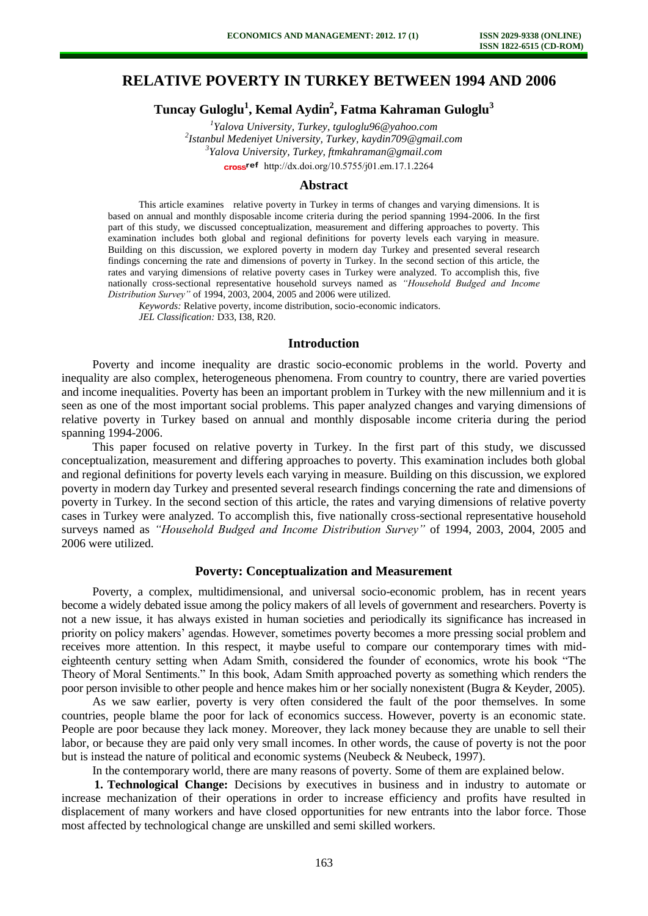# **RELATIVE POVERTY IN TURKEY BETWEEN 1994 AND 2006**

**Tuncay Guloglu<sup>1</sup> , Kemal Aydin<sup>2</sup> , Fatma Kahraman Guloglu<sup>3</sup>**

*1 Yalova University, Turkey, tguloglu96@yahoo.com 2 Istanbul Medeniyet University, Turkey, kaydin709@gmail.com 3 Yalova University, Turkey, ftmkahraman@gmail.com* 

cross<sup>ref</sup> [http://dx.doi.org/10.5755/j01.e](http://dx.doi.org/10.5755/j01.em.17.1.2264)m.17.1.2264

## **Abstract**

This article examines relative poverty in Turkey in terms of changes and varying dimensions. It is based on annual and monthly disposable income criteria during the period spanning 1994-2006. In the first part of this study, we discussed conceptualization, measurement and differing approaches to poverty. This examination includes both global and regional definitions for poverty levels each varying in measure. Building on this discussion, we explored poverty in modern day Turkey and presented several research findings concerning the rate and dimensions of poverty in Turkey. In the second section of this article, the rates and varying dimensions of relative poverty cases in Turkey were analyzed. To accomplish this, five nationally cross-sectional representative household surveys named as *"Household Budged and Income Distribution Survey"* of 1994, 2003, 2004, 2005 and 2006 were utilized.

*Keywords:* Relative poverty, income distribution, socio-economic indicators. *JEL Classification:* D33, I38, R20.

#### **Introduction**

Poverty and income inequality are drastic socio-economic problems in the world. Poverty and inequality are also complex, heterogeneous phenomena. From country to country, there are varied poverties and income inequalities. Poverty has been an important problem in Turkey with the new millennium and it is seen as one of the most important social problems. This paper analyzed changes and varying dimensions of relative poverty in Turkey based on annual and monthly disposable income criteria during the period spanning 1994-2006.

This paper focused on relative poverty in Turkey. In the first part of this study, we discussed conceptualization, measurement and differing approaches to poverty. This examination includes both global and regional definitions for poverty levels each varying in measure. Building on this discussion, we explored poverty in modern day Turkey and presented several research findings concerning the rate and dimensions of poverty in Turkey. In the second section of this article, the rates and varying dimensions of relative poverty cases in Turkey were analyzed. To accomplish this, five nationally cross-sectional representative household surveys named as *"Household Budged and Income Distribution Survey"* of 1994, 2003, 2004, 2005 and 2006 were utilized.

#### **Poverty: Conceptualization and Measurement**

Poverty, a complex, multidimensional, and universal socio-economic problem, has in recent years become a widely debated issue among the policy makers of all levels of government and researchers. Poverty is not a new issue, it has always existed in human societies and periodically its significance has increased in priority on policy makers' agendas. However, sometimes poverty becomes a more pressing social problem and receives more attention. In this respect, it maybe useful to compare our contemporary times with mideighteenth century setting when Adam Smith, considered the founder of economics, wrote his book "The Theory of Moral Sentiments." In this book, Adam Smith approached poverty as something which renders the poor person invisible to other people and hence makes him or her socially nonexistent (Bugra & Keyder, 2005).

As we saw earlier, poverty is very often considered the fault of the poor themselves. In some countries, people blame the poor for lack of economics success. However, poverty is an economic state. People are poor because they lack money. Moreover, they lack money because they are unable to sell their labor, or because they are paid only very small incomes. In other words, the cause of poverty is not the poor but is instead the nature of political and economic systems (Neubeck & Neubeck, 1997).

In the contemporary world, there are many reasons of poverty. Some of them are explained below.

**1. Technological Change:** Decisions by executives in business and in industry to automate or increase mechanization of their operations in order to increase efficiency and profits have resulted in displacement of many workers and have closed opportunities for new entrants into the labor force. Those most affected by technological change are unskilled and semi skilled workers.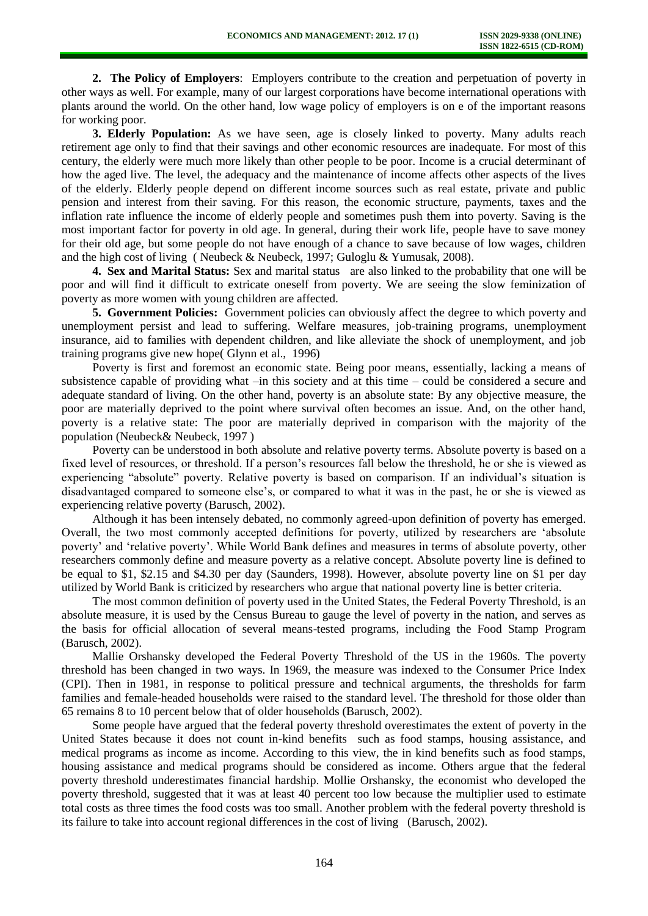**2. The Policy of Employers**: Employers contribute to the creation and perpetuation of poverty in other ways as well. For example, many of our largest corporations have become international operations with plants around the world. On the other hand, low wage policy of employers is on e of the important reasons for working poor.

**3. Elderly Population:** As we have seen, age is closely linked to poverty. Many adults reach retirement age only to find that their savings and other economic resources are inadequate. For most of this century, the elderly were much more likely than other people to be poor. Income is a crucial determinant of how the aged live. The level, the adequacy and the maintenance of income affects other aspects of the lives of the elderly. Elderly people depend on different income sources such as real estate, private and public pension and interest from their saving. For this reason, the economic structure, payments, taxes and the inflation rate influence the income of elderly people and sometimes push them into poverty. Saving is the most important factor for poverty in old age. In general, during their work life, people have to save money for their old age, but some people do not have enough of a chance to save because of low wages, children and the high cost of living ( Neubeck & Neubeck, 1997; Guloglu & Yumusak, 2008).

**4. Sex and Marital Status:** Sex and marital status are also linked to the probability that one will be poor and will find it difficult to extricate oneself from poverty. We are seeing the slow feminization of poverty as more women with young children are affected.

**5. Government Policies:** Government policies can obviously affect the degree to which poverty and unemployment persist and lead to suffering. Welfare measures, job-training programs, unemployment insurance, aid to families with dependent children, and like alleviate the shock of unemployment, and job training programs give new hope( Glynn et al., 1996)

Poverty is first and foremost an economic state. Being poor means, essentially, lacking a means of subsistence capable of providing what –in this society and at this time – could be considered a secure and adequate standard of living. On the other hand, poverty is an absolute state: By any objective measure, the poor are materially deprived to the point where survival often becomes an issue. And, on the other hand, poverty is a relative state: The poor are materially deprived in comparison with the majority of the population (Neubeck& Neubeck, 1997 )

Poverty can be understood in both absolute and relative poverty terms. Absolute poverty is based on a fixed level of resources, or threshold. If a person's resources fall below the threshold, he or she is viewed as experiencing "absolute" poverty. Relative poverty is based on comparison. If an individual's situation is disadvantaged compared to someone else's, or compared to what it was in the past, he or she is viewed as experiencing relative poverty (Barusch, 2002).

Although it has been intensely debated, no commonly agreed-upon definition of poverty has emerged. Overall, the two most commonly accepted definitions for poverty, utilized by researchers are 'absolute poverty' and 'relative poverty'. While World Bank defines and measures in terms of absolute poverty, other researchers commonly define and measure poverty as a relative concept. Absolute poverty line is defined to be equal to \$1, \$2.15 and \$4.30 per day (Saunders, 1998). However, absolute poverty line on \$1 per day utilized by World Bank is criticized by researchers who argue that national poverty line is better criteria.

The most common definition of poverty used in the United States, the Federal Poverty Threshold, is an absolute measure, it is used by the Census Bureau to gauge the level of poverty in the nation, and serves as the basis for official allocation of several means-tested programs, including the Food Stamp Program (Barusch, 2002).

Mallie Orshansky developed the Federal Poverty Threshold of the US in the 1960s. The poverty threshold has been changed in two ways. In 1969, the measure was indexed to the Consumer Price Index (CPI). Then in 1981, in response to political pressure and technical arguments, the thresholds for farm families and female-headed households were raised to the standard level. The threshold for those older than 65 remains 8 to 10 percent below that of older households (Barusch, 2002).

Some people have argued that the federal poverty threshold overestimates the extent of poverty in the United States because it does not count in-kind benefits such as food stamps, housing assistance, and medical programs as income as income. According to this view, the in kind benefits such as food stamps, housing assistance and medical programs should be considered as income. Others argue that the federal poverty threshold underestimates financial hardship. Mollie Orshansky, the economist who developed the poverty threshold, suggested that it was at least 40 percent too low because the multiplier used to estimate total costs as three times the food costs was too small. Another problem with the federal poverty threshold is its failure to take into account regional differences in the cost of living (Barusch, 2002).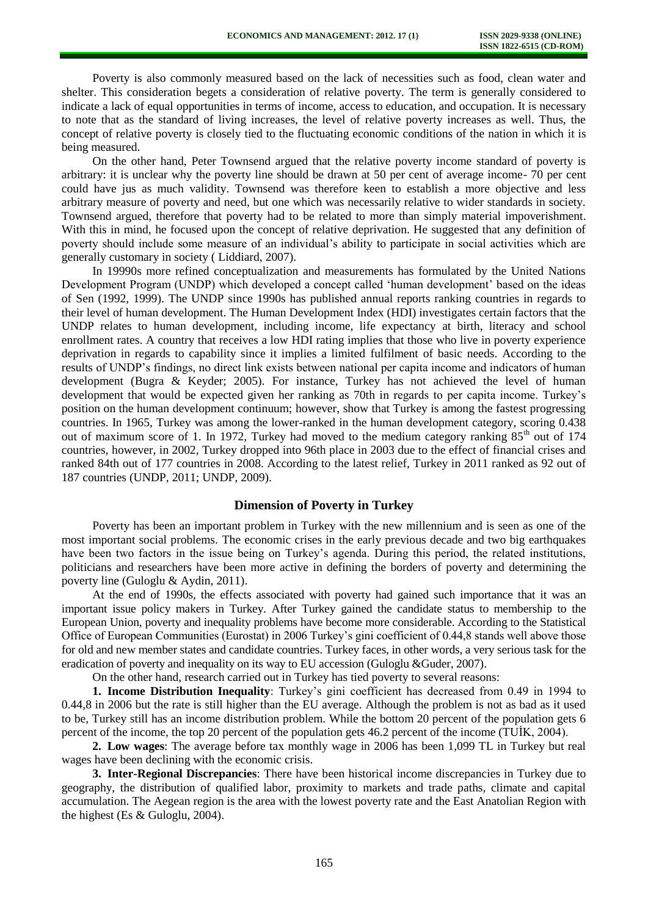Poverty is also commonly measured based on the lack of necessities such as food, clean water and shelter. This consideration begets a consideration of relative poverty. The term is generally considered to indicate a lack of equal opportunities in terms of income, access to education, and occupation. It is necessary to note that as the standard of living increases, the level of relative poverty increases as well. Thus, the concept of relative poverty is closely tied to the fluctuating economic conditions of the nation in which it is being measured.

On the other hand, Peter Townsend argued that the relative poverty income standard of poverty is arbitrary: it is unclear why the poverty line should be drawn at 50 per cent of average income- 70 per cent could have jus as much validity. Townsend was therefore keen to establish a more objective and less arbitrary measure of poverty and need, but one which was necessarily relative to wider standards in society. Townsend argued, therefore that poverty had to be related to more than simply material impoverishment. With this in mind, he focused upon the concept of relative deprivation. He suggested that any definition of poverty should include some measure of an individual's ability to participate in social activities which are generally customary in society ( Liddiard, 2007).

In 19990s more refined conceptualization and measurements has formulated by the United Nations Development Program (UNDP) which developed a concept called 'human development' based on the ideas of Sen (1992, 1999). The UNDP since 1990s has published annual reports ranking countries in regards to their level of human development. The Human Development Index (HDI) investigates certain factors that the UNDP relates to human development, including income, life expectancy at birth, literacy and school enrollment rates. A country that receives a low HDI rating implies that those who live in poverty experience deprivation in regards to capability since it implies a limited fulfilment of basic needs. According to the results of UNDP's findings, no direct link exists between national per capita income and indicators of human development (Bugra & Keyder; 2005). For instance, Turkey has not achieved the level of human development that would be expected given her ranking as 70th in regards to per capita income. Turkey's position on the human development continuum; however, show that Turkey is among the fastest progressing countries. In 1965, Turkey was among the lower-ranked in the human development category, scoring 0.438 out of maximum score of 1. In 1972, Turkey had moved to the medium category ranking  $85<sup>th</sup>$  out of 174 countries, however, in 2002, Turkey dropped into 96th place in 2003 due to the effect of financial crises and ranked 84th out of 177 countries in 2008. According to the latest relief, Turkey in 2011 ranked as 92 out of 187 countries (UNDP, 2011; UNDP, 2009).

## **Dimension of Poverty in Turkey**

Poverty has been an important problem in Turkey with the new millennium and is seen as one of the most important social problems. The economic crises in the early previous decade and two big earthquakes have been two factors in the issue being on Turkey's agenda. During this period, the related institutions, politicians and researchers have been more active in defining the borders of poverty and determining the poverty line (Guloglu & Aydin, 2011).

At the end of 1990s, the effects associated with poverty had gained such importance that it was an important issue policy makers in Turkey. After Turkey gained the candidate status to membership to the European Union, poverty and inequality problems have become more considerable. According to the Statistical Office of European Communities (Eurostat) in 2006 Turkey's gini coefficient of 0.44,8 stands well above those for old and new member states and candidate countries. Turkey faces, in other words, a very serious task for the eradication of poverty and inequality on its way to EU accession (Guloglu &Guder, 2007).

On the other hand, research carried out in Turkey has tied poverty to several reasons:

**1. Income Distribution Inequality**: Turkey's gini coefficient has decreased from 0.49 in 1994 to 0.44,8 in 2006 but the rate is still higher than the EU average. Although the problem is not as bad as it used to be, Turkey still has an income distribution problem. While the bottom 20 percent of the population gets 6 percent of the income, the top 20 percent of the population gets 46.2 percent of the income (TUİK, 2004).

**2. Low wages**: The average before tax monthly wage in 2006 has been 1,099 TL in Turkey but real wages have been declining with the economic crisis.

**3. Inter-Regional Discrepancies**: There have been historical income discrepancies in Turkey due to geography, the distribution of qualified labor, proximity to markets and trade paths, climate and capital accumulation. The Aegean region is the area with the lowest poverty rate and the East Anatolian Region with the highest (Es & Guloglu, 2004).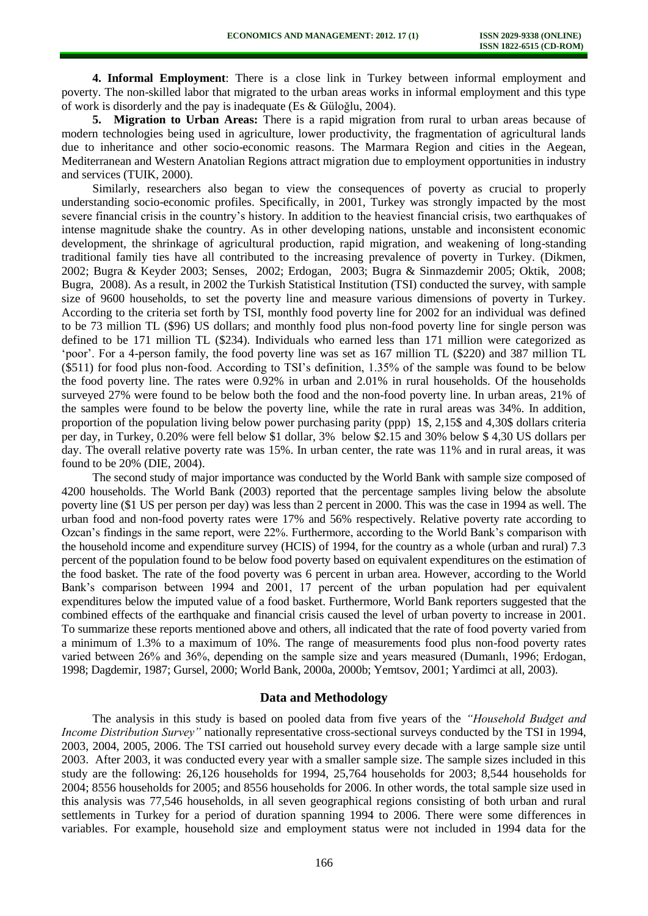**4. Informal Employment**: There is a close link in Turkey between informal employment and poverty. The non-skilled labor that migrated to the urban areas works in informal employment and this type of work is disorderly and the pay is inadequate (Es & Güloğlu, 2004).

**5. Migration to Urban Areas:** There is a rapid migration from rural to urban areas because of modern technologies being used in agriculture, lower productivity, the fragmentation of agricultural lands due to inheritance and other socio-economic reasons. The Marmara Region and cities in the Aegean, Mediterranean and Western Anatolian Regions attract migration due to employment opportunities in industry and services (TUIK, 2000).

Similarly, researchers also began to view the consequences of poverty as crucial to properly understanding socio-economic profiles. Specifically, in 2001, Turkey was strongly impacted by the most severe financial crisis in the country's history. In addition to the heaviest financial crisis, two earthquakes of intense magnitude shake the country. As in other developing nations, unstable and inconsistent economic development, the shrinkage of agricultural production, rapid migration, and weakening of long-standing traditional family ties have all contributed to the increasing prevalence of poverty in Turkey. (Dikmen, 2002; Bugra & Keyder 2003; Senses, 2002; Erdogan, 2003; Bugra & Sinmazdemir 2005; Oktik, 2008; Bugra, 2008). As a result, in 2002 the Turkish Statistical Institution (TSI) conducted the survey, with sample size of 9600 households, to set the poverty line and measure various dimensions of poverty in Turkey. According to the criteria set forth by TSI, monthly food poverty line for 2002 for an individual was defined to be 73 million TL (\$96) US dollars; and monthly food plus non-food poverty line for single person was defined to be 171 million TL (\$234). Individuals who earned less than 171 million were categorized as 'poor'. For a 4-person family, the food poverty line was set as 167 million TL (\$220) and 387 million TL (\$511) for food plus non-food. According to TSI's definition, 1.35% of the sample was found to be below the food poverty line. The rates were 0.92% in urban and 2.01% in rural households. Of the households surveyed 27% were found to be below both the food and the non-food poverty line. In urban areas, 21% of the samples were found to be below the poverty line, while the rate in rural areas was 34%. In addition, proportion of the population living below power purchasing parity (ppp) 1\$, 2,15\$ and 4,30\$ dollars criteria per day, in Turkey, 0.20% were fell below \$1 dollar, 3% below \$2.15 and 30% below \$ 4,30 US dollars per day. The overall relative poverty rate was 15%. In urban center, the rate was 11% and in rural areas, it was found to be 20% (DIE, 2004).

The second study of major importance was conducted by the World Bank with sample size composed of 4200 households. The World Bank (2003) reported that the percentage samples living below the absolute poverty line (\$1 US per person per day) was less than 2 percent in 2000. This was the case in 1994 as well. The urban food and non-food poverty rates were 17% and 56% respectively. Relative poverty rate according to Ozcan's findings in the same report, were 22%. Furthermore, according to the World Bank's comparison with the household income and expenditure survey (HCIS) of 1994, for the country as a whole (urban and rural) 7.3 percent of the population found to be below food poverty based on equivalent expenditures on the estimation of the food basket. The rate of the food poverty was 6 percent in urban area. However, according to the World Bank's comparison between 1994 and 2001, 17 percent of the urban population had per equivalent expenditures below the imputed value of a food basket. Furthermore, World Bank reporters suggested that the combined effects of the earthquake and financial crisis caused the level of urban poverty to increase in 2001. To summarize these reports mentioned above and others, all indicated that the rate of food poverty varied from a minimum of 1.3% to a maximum of 10%. The range of measurements food plus non-food poverty rates varied between 26% and 36%, depending on the sample size and years measured (Dumanlı, 1996; Erdogan, 1998; Dagdemir, 1987; Gursel, 2000; World Bank, 2000a, 2000b; Yemtsov, 2001; Yardimci at all, 2003).

## **Data and Methodology**

The analysis in this study is based on pooled data from five years of the *"Household Budget and Income Distribution Survey"* nationally representative cross-sectional surveys conducted by the TSI in 1994, 2003, 2004, 2005, 2006. The TSI carried out household survey every decade with a large sample size until 2003. After 2003, it was conducted every year with a smaller sample size. The sample sizes included in this study are the following: 26,126 households for 1994, 25,764 households for 2003; 8,544 households for 2004; 8556 households for 2005; and 8556 households for 2006. In other words, the total sample size used in this analysis was 77,546 households, in all seven geographical regions consisting of both urban and rural settlements in Turkey for a period of duration spanning 1994 to 2006. There were some differences in variables. For example, household size and employment status were not included in 1994 data for the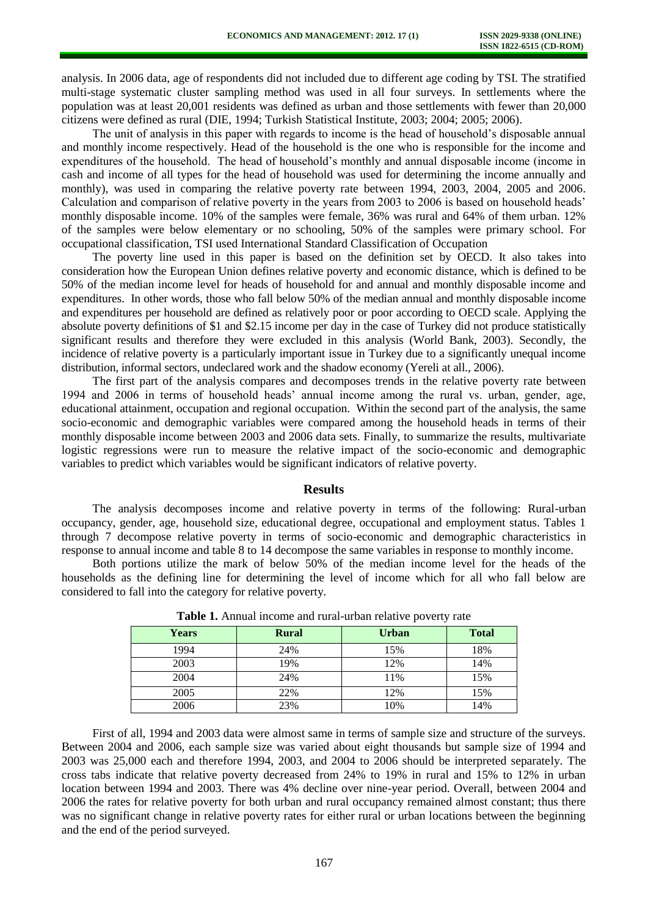analysis. In 2006 data, age of respondents did not included due to different age coding by TSI. The stratified multi-stage systematic cluster sampling method was used in all four surveys. In settlements where the population was at least 20,001 residents was defined as urban and those settlements with fewer than 20,000 citizens were defined as rural (DIE, 1994; Turkish Statistical Institute, 2003; 2004; 2005; 2006).

The unit of analysis in this paper with regards to income is the head of household's disposable annual and monthly income respectively. Head of the household is the one who is responsible for the income and expenditures of the household. The head of household's monthly and annual disposable income (income in cash and income of all types for the head of household was used for determining the income annually and monthly), was used in comparing the relative poverty rate between 1994, 2003, 2004, 2005 and 2006. Calculation and comparison of relative poverty in the years from 2003 to 2006 is based on household heads' monthly disposable income. 10% of the samples were female, 36% was rural and 64% of them urban. 12% of the samples were below elementary or no schooling, 50% of the samples were primary school. For occupational classification, TSI used International Standard Classification of Occupation

The poverty line used in this paper is based on the definition set by OECD. It also takes into consideration how the European Union defines relative poverty and economic distance, which is defined to be 50% of the median income level for heads of household for and annual and monthly disposable income and expenditures. In other words, those who fall below 50% of the median annual and monthly disposable income and expenditures per household are defined as relatively poor or poor according to OECD scale. Applying the absolute poverty definitions of \$1 and \$2.15 income per day in the case of Turkey did not produce statistically significant results and therefore they were excluded in this analysis (World Bank, 2003). Secondly, the incidence of relative poverty is a particularly important issue in Turkey due to a significantly unequal income distribution, informal sectors, undeclared work and the shadow economy (Yereli at all., 2006).

The first part of the analysis compares and decomposes trends in the relative poverty rate between 1994 and 2006 in terms of household heads' annual income among the rural vs. urban, gender, age, educational attainment, occupation and regional occupation. Within the second part of the analysis, the same socio-economic and demographic variables were compared among the household heads in terms of their monthly disposable income between 2003 and 2006 data sets. Finally, to summarize the results, multivariate logistic regressions were run to measure the relative impact of the socio-economic and demographic variables to predict which variables would be significant indicators of relative poverty.

#### **Results**

The analysis decomposes income and relative poverty in terms of the following: Rural-urban occupancy, gender, age, household size, educational degree, occupational and employment status. Tables 1 through 7 decompose relative poverty in terms of socio-economic and demographic characteristics in response to annual income and table 8 to 14 decompose the same variables in response to monthly income.

Both portions utilize the mark of below 50% of the median income level for the heads of the households as the defining line for determining the level of income which for all who fall below are considered to fall into the category for relative poverty.

| <b>Years</b> | <b>Rural</b> | <b>Urban</b> | <b>Total</b> |
|--------------|--------------|--------------|--------------|
| 1994         | 24%          | 15%          | 18%          |
| 2003         | 19%          | 12%          | 14%          |
| 2004         | 24%          | 11%          | 15%          |
| 2005         | 22%          | 12%          | 15%          |
| 2006         | 23%          | 10%          | 14%          |

**Table 1.** Annual income and rural-urban relative poverty rate

First of all, 1994 and 2003 data were almost same in terms of sample size and structure of the surveys. Between 2004 and 2006, each sample size was varied about eight thousands but sample size of 1994 and 2003 was 25,000 each and therefore 1994, 2003, and 2004 to 2006 should be interpreted separately. The cross tabs indicate that relative poverty decreased from 24% to 19% in rural and 15% to 12% in urban location between 1994 and 2003. There was 4% decline over nine-year period. Overall, between 2004 and 2006 the rates for relative poverty for both urban and rural occupancy remained almost constant; thus there was no significant change in relative poverty rates for either rural or urban locations between the beginning and the end of the period surveyed.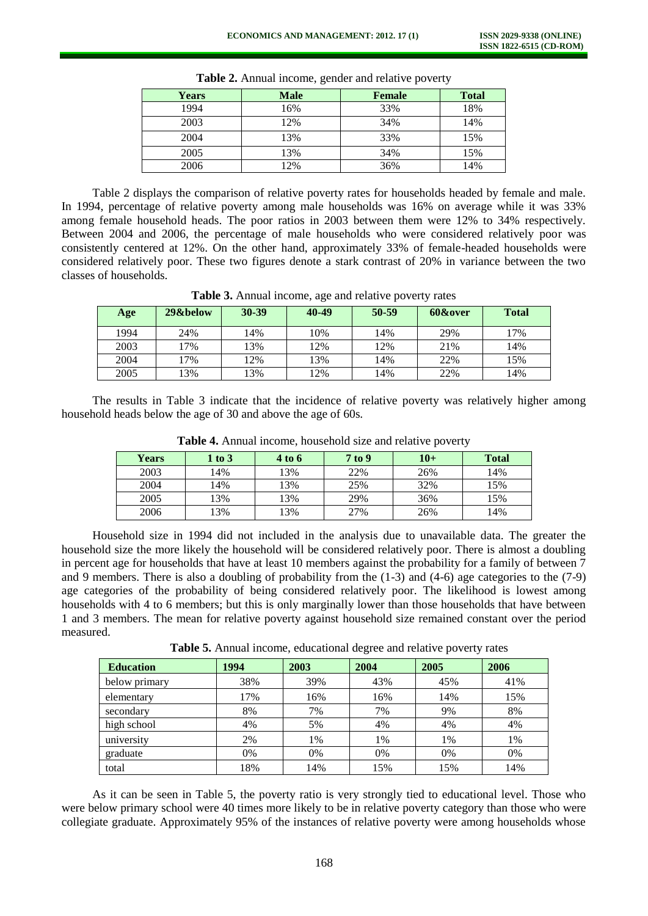| <b>Years</b> | <b>Male</b> | <b>Female</b> | <b>Total</b> |
|--------------|-------------|---------------|--------------|
| 1994         | 16%         | 33%           | 18%          |
| 2003         | 12%         | 34%           | 14%          |
| 2004         | 13%         | 33%           | 15%          |
| 2005         | 13%         | 34%           | 15%          |
| 2006         | 12%         | 36%           | 14%          |

**Table 2.** Annual income, gender and relative poverty

Table 2 displays the comparison of relative poverty rates for households headed by female and male. In 1994, percentage of relative poverty among male households was 16% on average while it was 33% among female household heads. The poor ratios in 2003 between them were 12% to 34% respectively. Between 2004 and 2006, the percentage of male households who were considered relatively poor was consistently centered at 12%. On the other hand, approximately 33% of female-headed households were considered relatively poor. These two figures denote a stark contrast of 20% in variance between the two classes of households.

| Table 3. Annual income, age and relative poverty rates |  |  |
|--------------------------------------------------------|--|--|
|--------------------------------------------------------|--|--|

| Age  | 29&below | $30 - 39$ | 40-49 | 50-59 | 60&over | <b>Total</b> |
|------|----------|-----------|-------|-------|---------|--------------|
| 1994 | 24%      | 14%       | 10%   | 14%   | 29%     | 17%          |
| 2003 | 17%      | 13%       | 12%   | 2%    | 21%     | 14%          |
| 2004 | 7%       | 12%       | 13%   | 14%   | 22%     | 15%          |
| 2005 | 13%      | 3%        | 12%   | .4%   | 22%     | 14%          |

The results in Table 3 indicate that the incidence of relative poverty was relatively higher among household heads below the age of 30 and above the age of 60s.

| <b>Years</b> | $1$ to $3$ | 4 to 6 | 7 to 9 | $10+$ | <b>Total</b> |
|--------------|------------|--------|--------|-------|--------------|
| 2003         | 14%        | 13%    | 22%    | 26%   | 14%          |
| 2004         | 14%        | 13%    | 25%    | 32%   | 15%          |
| 2005         | 13%        | 13%    | 29%    | 36%   | 15%          |
| 2006         | 13%        | 13%    | 27%    | 26%   | 14%          |

**Table 4.** Annual income, household size and relative poverty

Household size in 1994 did not included in the analysis due to unavailable data. The greater the household size the more likely the household will be considered relatively poor. There is almost a doubling in percent age for households that have at least 10 members against the probability for a family of between 7 and 9 members. There is also a doubling of probability from the (1-3) and (4-6) age categories to the (7-9) age categories of the probability of being considered relatively poor. The likelihood is lowest among households with 4 to 6 members; but this is only marginally lower than those households that have between 1 and 3 members. The mean for relative poverty against household size remained constant over the period measured.

**Table 5.** Annual income, educational degree and relative poverty rates

| <b>Education</b> | 1994 | 2003 | 2004 | 2005 | 2006 |
|------------------|------|------|------|------|------|
| below primary    | 38%  | 39%  | 43%  | 45%  | 41%  |
| elementary       | 17%  | 16%  | 16%  | 14%  | 15%  |
| secondary        | 8%   | 7%   | 7%   | 9%   | 8%   |
| high school      | 4%   | 5%   | 4%   | 4%   | 4%   |
| university       | 2%   | 1%   | 1%   | 1%   | 1%   |
| graduate         | 0%   | 0%   | 0%   | 0%   | 0%   |
| total            | 18%  | 14%  | 15%  | 15%  | 14%  |

As it can be seen in Table 5, the poverty ratio is very strongly tied to educational level. Those who were below primary school were 40 times more likely to be in relative poverty category than those who were collegiate graduate. Approximately 95% of the instances of relative poverty were among households whose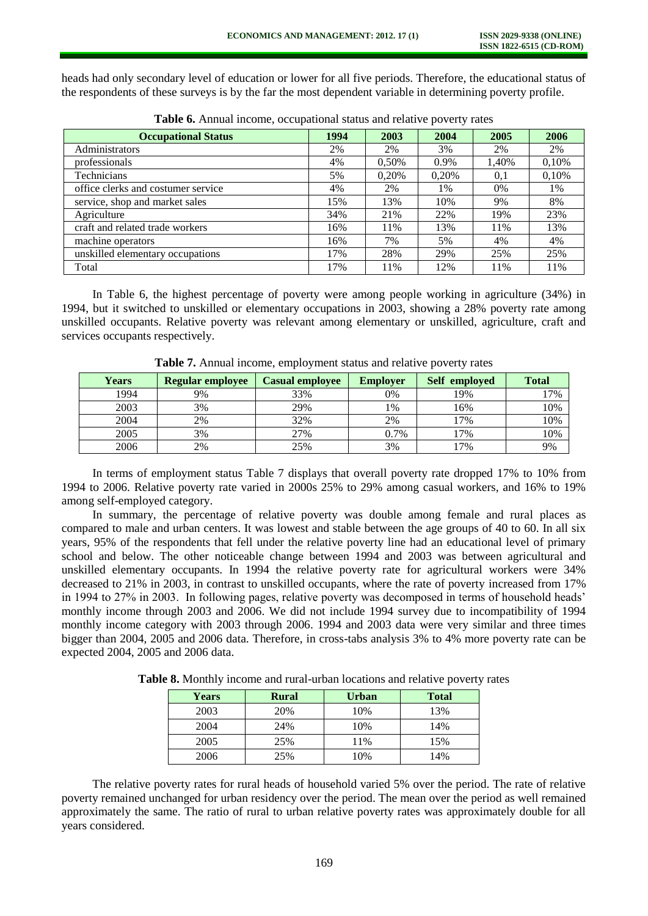heads had only secondary level of education or lower for all five periods. Therefore, the educational status of the respondents of these surveys is by the far the most dependent variable in determining poverty profile.

| <b>Occupational Status</b>         | 1994 | 2003  | 2004  | 2005  | 2006  |
|------------------------------------|------|-------|-------|-------|-------|
| Administrators                     | 2%   | 2%    | 3%    | 2%    | 2%    |
| professionals                      | 4%   | 0,50% | 0.9%  | 1,40% | 0,10% |
| Technicians                        | 5%   | 0.20% | 0,20% | 0,1   | 0.10% |
| office clerks and costumer service | 4%   | 2%    | 1%    | 0%    | 1%    |
| service, shop and market sales     | 15%  | 13%   | 10%   | 9%    | 8%    |
| Agriculture                        | 34%  | 21%   | 22%   | 19%   | 23%   |
| craft and related trade workers    | 16%  | 11%   | 13%   | 11%   | 13%   |
| machine operators                  | 16%  | 7%    | 5%    | 4%    | 4%    |
| unskilled elementary occupations   | 17%  | 28%   | 29%   | 25%   | 25%   |
| Total                              | 17%  | 11%   | 12%   | 11%   | 11%   |

**Table 6.** Annual income, occupational status and relative poverty rates

In Table 6, the highest percentage of poverty were among people working in agriculture (34%) in 1994, but it switched to unskilled or elementary occupations in 2003, showing a 28% poverty rate among unskilled occupants. Relative poverty was relevant among elementary or unskilled, agriculture, craft and services occupants respectively.

| <b>Years</b> | Regular employee | <b>Casual employee</b> | <b>Employer</b> | Self employed | <b>Total</b> |
|--------------|------------------|------------------------|-----------------|---------------|--------------|
| 1994         | 9%               | 33%                    | 0%              | 19%           | 17%          |
| 2003         | 3%               | 29%                    | 1%              | 16%           | 10%          |
| 2004         | 2%               | 32%                    | 2%              | 7%            | 10%          |
| 2005         | 3%               | 27%                    | 0.7%            | 7%            | 10%          |
| 2006         | 2%               | 25%                    | 3%              | 7%            | 9%           |

**Table 7.** Annual income, employment status and relative poverty rates

In terms of employment status Table 7 displays that overall poverty rate dropped 17% to 10% from 1994 to 2006. Relative poverty rate varied in 2000s 25% to 29% among casual workers, and 16% to 19% among self-employed category.

In summary, the percentage of relative poverty was double among female and rural places as compared to male and urban centers. It was lowest and stable between the age groups of 40 to 60. In all six years, 95% of the respondents that fell under the relative poverty line had an educational level of primary school and below. The other noticeable change between 1994 and 2003 was between agricultural and unskilled elementary occupants. In 1994 the relative poverty rate for agricultural workers were 34% decreased to 21% in 2003, in contrast to unskilled occupants, where the rate of poverty increased from 17% in 1994 to 27% in 2003. In following pages, relative poverty was decomposed in terms of household heads' monthly income through 2003 and 2006. We did not include 1994 survey due to incompatibility of 1994 monthly income category with 2003 through 2006. 1994 and 2003 data were very similar and three times bigger than 2004, 2005 and 2006 data. Therefore, in cross-tabs analysis 3% to 4% more poverty rate can be expected 2004, 2005 and 2006 data.

**Table 8.** Monthly income and rural-urban locations and relative poverty rates

| <b>Years</b> | <b>Rural</b> | <b>Urban</b> | <b>Total</b> |
|--------------|--------------|--------------|--------------|
| 2003         | 20%          | 10%          | 13%          |
| 2004         | 24%          | 10%          | 14%          |
| 2005         | 25%          | 11%          | 15%          |
| 2006         | 25%          | 10%          | 14%          |

The relative poverty rates for rural heads of household varied 5% over the period. The rate of relative poverty remained unchanged for urban residency over the period. The mean over the period as well remained approximately the same. The ratio of rural to urban relative poverty rates was approximately double for all years considered.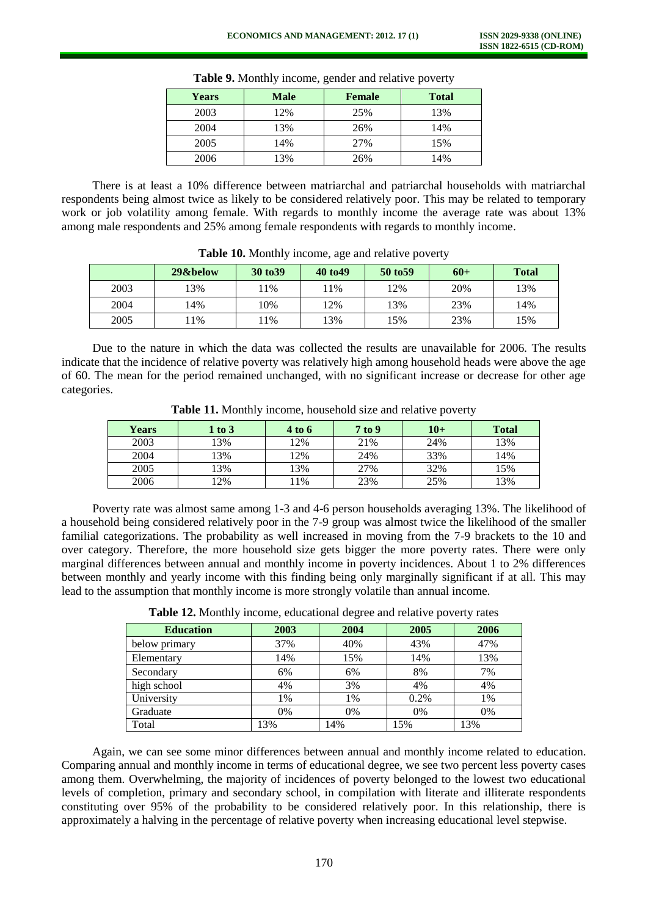| <b>Years</b> | <b>Male</b> | Female | <b>Total</b> |
|--------------|-------------|--------|--------------|
| 2003         | 12%         | 25%    | 13%          |
| 2004         | 13%         | 26%    | 14%          |
| 2005         | 14%         | 27%    | 15%          |
| 2006         | 13%         | 26%    | 14%          |

**Table 9.** Monthly income, gender and relative poverty

There is at least a 10% difference between matriarchal and patriarchal households with matriarchal respondents being almost twice as likely to be considered relatively poor. This may be related to temporary work or job volatility among female. With regards to monthly income the average rate was about 13% among male respondents and 25% among female respondents with regards to monthly income.

|      | 29&below | 30 to 39 | 40 to 49 | 50 to 59 | $60+$ | <b>Total</b> |
|------|----------|----------|----------|----------|-------|--------------|
| 2003 | 13%      | 11%      | 11%      | 2%       | 20%   | 13%          |
| 2004 | 14%      | 10%      | 12%      | 13%      | 23%   | 14%          |
| 2005 | 1%       | $1\%$    | 13%      | 15%      | 23%   | 15%          |

**Table 10.** Monthly income, age and relative poverty

Due to the nature in which the data was collected the results are unavailable for 2006. The results indicate that the incidence of relative poverty was relatively high among household heads were above the age of 60. The mean for the period remained unchanged, with no significant increase or decrease for other age categories.

| <b>Years</b> | $1$ to $3$ | 4 to 6 | 7 to 9 | $10+$ | <b>Total</b> |
|--------------|------------|--------|--------|-------|--------------|
| 2003         | 3%         | 12%    | 21%    | 24%   | 13%          |
| 2004         | 3%         | 12%    | 24%    | 33%   | 14%          |
| 2005         | 3%         | 13%    | 27%    | 32%   | 15%          |
| 2006         | 2%         | ! 1%   | 23%    | 25%   | 13%          |

**Table 11.** Monthly income, household size and relative poverty

Poverty rate was almost same among 1-3 and 4-6 person households averaging 13%. The likelihood of a household being considered relatively poor in the 7-9 group was almost twice the likelihood of the smaller familial categorizations. The probability as well increased in moving from the 7-9 brackets to the 10 and over category. Therefore, the more household size gets bigger the more poverty rates. There were only marginal differences between annual and monthly income in poverty incidences. About 1 to 2% differences between monthly and yearly income with this finding being only marginally significant if at all. This may lead to the assumption that monthly income is more strongly volatile than annual income.

| <b>Education</b> | 2003 | 2004 | 2005 | 2006 |
|------------------|------|------|------|------|
| below primary    | 37%  | 40%  | 43%  | 47%  |
| Elementary       | 14%  | 15%  | 14%  | 13%  |
| Secondary        | 6%   | 6%   | 8%   | 7%   |
| high school      | 4%   | 3%   | 4%   | 4%   |
| University       | 1%   | 1%   | 0.2% | 1%   |
| Graduate         | 0%   | 0%   | 0%   | 0%   |
| Total            | 13%  | 14%  | 15%  | 13%  |

**Table 12.** Monthly income, educational degree and relative poverty rates

Again, we can see some minor differences between annual and monthly income related to education. Comparing annual and monthly income in terms of educational degree, we see two percent less poverty cases among them. Overwhelming, the majority of incidences of poverty belonged to the lowest two educational levels of completion, primary and secondary school, in compilation with literate and illiterate respondents constituting over 95% of the probability to be considered relatively poor. In this relationship, there is approximately a halving in the percentage of relative poverty when increasing educational level stepwise.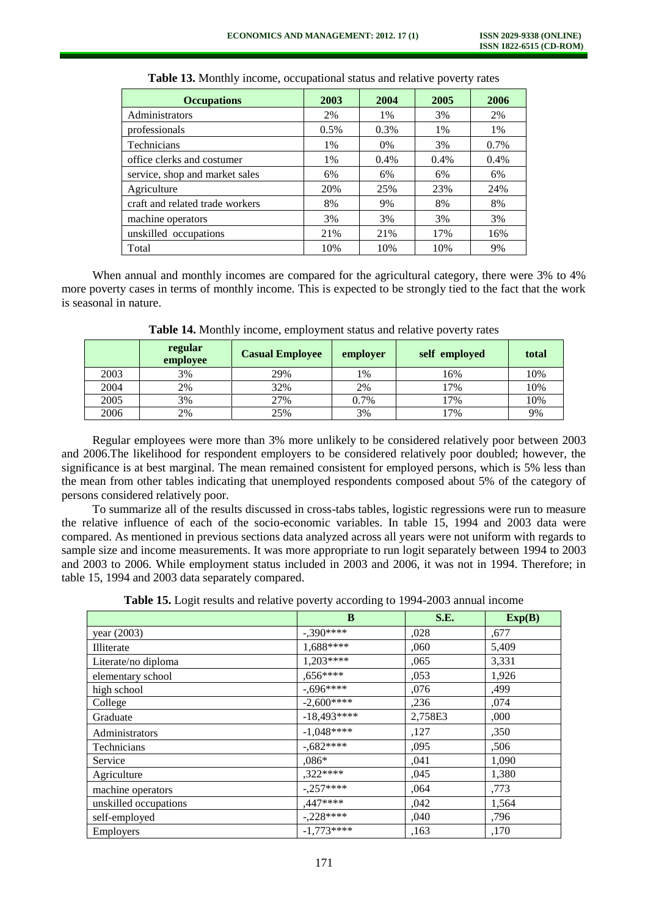| <b>Occupations</b>              | 2003  | 2004  | 2005 | 2006 |
|---------------------------------|-------|-------|------|------|
| Administrators                  | 2%    | 1%    | 3%   | 2%   |
| professionals                   | 0.5%  | 0.3%  | 1%   | 1%   |
| Technicians                     | 1%    | $0\%$ | 3%   | 0.7% |
| office clerks and costumer      | $1\%$ | 0.4%  | 0.4% | 0.4% |
| service, shop and market sales  | 6%    | 6%    | 6%   | 6%   |
| Agriculture                     | 20%   | 25%   | 23%  | 24%  |
| craft and related trade workers | 8%    | 9%    | 8%   | 8%   |
| machine operators               | 3%    | 3%    | 3%   | 3%   |
| unskilled occupations           | 21%   | 21%   | 17%  | 16%  |
| Total                           | 10%   | 10%   | 10%  | 9%   |

**Table 13.** Monthly income, occupational status and relative poverty rates

When annual and monthly incomes are compared for the agricultural category, there were 3% to 4% more poverty cases in terms of monthly income. This is expected to be strongly tied to the fact that the work is seasonal in nature.

|      | regular<br>employee | <b>Casual Employee</b> | employer | self employed | total |
|------|---------------------|------------------------|----------|---------------|-------|
| 2003 | 3%                  | 29%                    | 1%       | 16%           | 10%   |
| 2004 | 2%                  | 32%                    | 2%       | 17%           | 10%   |
| 2005 | 3%                  | 27%                    | 0.7%     | 17%           | 10%   |
| 2006 | 2%                  | 25%                    | 3%       | 17%           | 9%    |

**Table 14.** Monthly income, employment status and relative poverty rates

Regular employees were more than 3% more unlikely to be considered relatively poor between 2003 and 2006.The likelihood for respondent employers to be considered relatively poor doubled; however, the significance is at best marginal. The mean remained consistent for employed persons, which is 5% less than the mean from other tables indicating that unemployed respondents composed about 5% of the category of persons considered relatively poor.

To summarize all of the results discussed in cross-tabs tables, logistic regressions were run to measure the relative influence of each of the socio-economic variables. In table 15, 1994 and 2003 data were compared. As mentioned in previous sections data analyzed across all years were not uniform with regards to sample size and income measurements. It was more appropriate to run logit separately between 1994 to 2003 and 2003 to 2006. While employment status included in 2003 and 2006, it was not in 1994. Therefore; in table 15, 1994 and 2003 data separately compared.

| Table 15. Logit results and relative poverty according to 1994-2003 annual income |
|-----------------------------------------------------------------------------------|
|-----------------------------------------------------------------------------------|

|                       | B            | <b>S.E.</b> | Exp(B) |
|-----------------------|--------------|-------------|--------|
| year (2003)           | $-.390***$   | ,028        | ,677   |
| Illiterate            | 1,688****    | ,060        | 5,409  |
| Literate/no diploma   | $1,203***$   | ,065        | 3,331  |
| elementary school     | $0.656***$   | ,053        | 1,926  |
| high school           | $-0.696***$  | ,076        | ,499   |
| College               | $-2.600***$  | ,236        | ,074   |
| Graduate              | $-18.493***$ | 2,758E3     | ,000   |
| Administrators        | $-1,048***$  | ,127        | ,350   |
| Technicians           | $-0.682***$  | ,095        | ,506   |
| Service               | $0.086*$     | ,041        | 1,090  |
| Agriculture           | $,322***$    | ,045        | 1,380  |
| machine operators     | $-.257***$   | .064        | ,773   |
| unskilled occupations | $,447***$    | ,042        | 1,564  |
| self-employed         | $-.228***$   | ,040        | ,796   |
| <b>Employers</b>      | $-1,773***$  | ,163        | ,170   |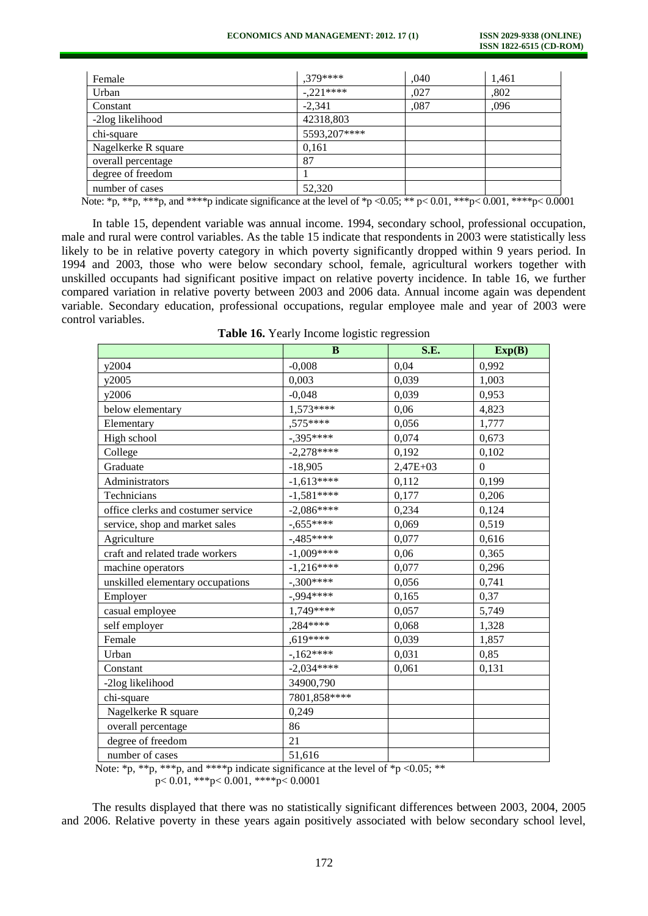| Female                                                                                                                                               | $.379***$    | ,040 | 1,461 |
|------------------------------------------------------------------------------------------------------------------------------------------------------|--------------|------|-------|
| Urban                                                                                                                                                | $-.221***$   | .027 | ,802  |
| Constant                                                                                                                                             | $-2.341$     | ,087 | ,096  |
| -2log likelihood                                                                                                                                     | 42318,803    |      |       |
| chi-square                                                                                                                                           | 5593,207**** |      |       |
| Nagelkerke R square                                                                                                                                  | 0,161        |      |       |
| overall percentage                                                                                                                                   | 87           |      |       |
| degree of freedom                                                                                                                                    |              |      |       |
| number of cases<br>the contract of the contract of the contract of the contract of the contract of the contract of the contract of<br>$\cdot$ $\sim$ | 52,320       |      |       |

Note: \*p, \*\*\*p, and \*\*\*\*p indicate significance at the level of \*p <0.05; \*\* p< 0.01, \*\*\*p< 0.001, \*\*\*p< 0.0001

In table 15, dependent variable was annual income. 1994, secondary school, professional occupation, male and rural were control variables. As the table 15 indicate that respondents in 2003 were statistically less likely to be in relative poverty category in which poverty significantly dropped within 9 years period. In 1994 and 2003, those who were below secondary school, female, agricultural workers together with unskilled occupants had significant positive impact on relative poverty incidence. In table 16, we further compared variation in relative poverty between 2003 and 2006 data. Annual income again was dependent variable. Secondary education, professional occupations, regular employee male and year of 2003 were control variables.

**Table 16.** Yearly Income logistic regression

| $\bf{B}$     | S.E.                   | Exp(B)         |
|--------------|------------------------|----------------|
| $-0,008$     | 0,04                   | 0,992          |
| 0.003        | 0.039                  | 1,003          |
| $-0.048$     | 0,039                  | 0,953          |
| $1,573***$   | 0,06                   | 4,823          |
| ,575****     | 0,056                  | 1,777          |
| $-.395***$   | 0,074                  | 0,673          |
| $-2,278***$  | 0,192                  | 0,102          |
| $-18,905$    | 2,47E+03               | $\overline{0}$ |
| $-1,613***$  | 0,112                  | 0,199          |
| $-1,581***$  | 0,177                  | 0,206          |
| $-2,086***$  | 0,234                  | 0,124          |
| $-.655***$   | 0,069                  | 0,519          |
| $-0.485***$  | 0,077                  | 0,616          |
| $-1,009***$  | 0,06                   | 0,365          |
| $-1,216***$  | 0,077                  | 0,296          |
| $-.300***$   | 0,056                  | 0,741          |
| -,994****    | 0,165                  | 0,37           |
| 1,749****    | 0,057                  | 5,749          |
| ,284****     | 0,068                  | 1,328          |
|              | 0,039                  | 1,857          |
|              | 0,031                  | 0,85           |
| $-2,034***$  | 0,061                  | 0,131          |
| 34900.790    |                        |                |
| 7801,858**** |                        |                |
| 0,249        |                        |                |
| 86           |                        |                |
| 21           |                        |                |
| 51,616       |                        |                |
|              | ,619****<br>$-.162***$ |                |

Note:  $\overline{\ast}$ p,  $\overline{\ast}$ \* $\overline{\ast}$ p,  $\overline{\ast}$ \* $\overline{\ast}$ p, and  $\overline{\ast}$ \* $\overline{\ast}$ p indicate significance at the level of  $\overline{\ast}$ p <0.05;  $\overline{\ast}$ \*

p< 0.01, \*\*\*p< 0.001, \*\*\*\*p< 0.0001

The results displayed that there was no statistically significant differences between 2003, 2004, 2005 and 2006. Relative poverty in these years again positively associated with below secondary school level,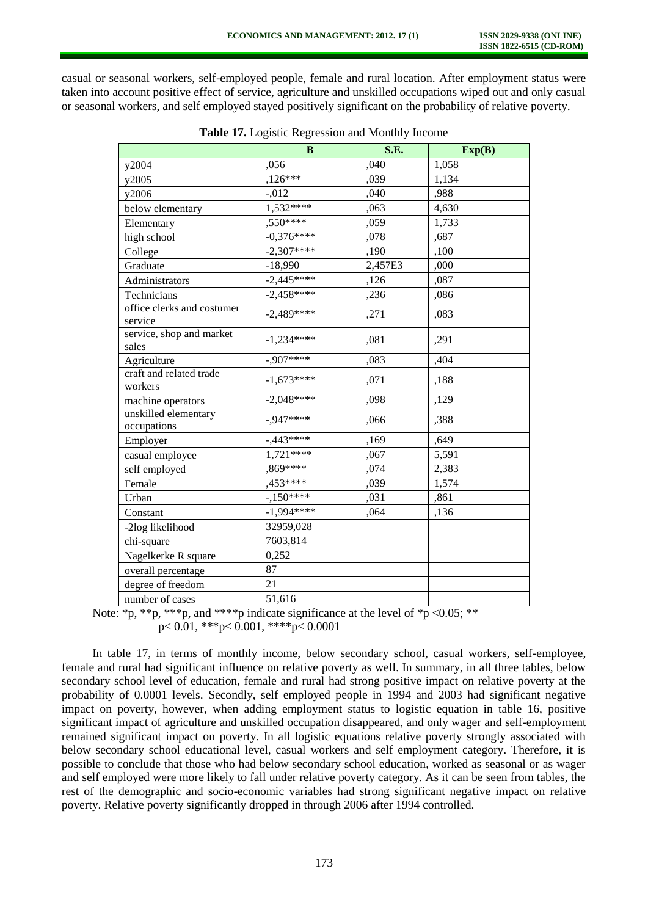casual or seasonal workers, self-employed people, female and rural location. After employment status were taken into account positive effect of service, agriculture and unskilled occupations wiped out and only casual or seasonal workers, and self employed stayed positively significant on the probability of relative poverty.

|                                       | B             | S.E.    | Exp(B) |
|---------------------------------------|---------------|---------|--------|
| y2004                                 | ,056          | ,040    | 1,058  |
| y2005                                 | $,126***$     | ,039    | 1,134  |
| y2006                                 | $-0.012$      | ,040    | ,988   |
| below elementary                      | $1,532***$    | ,063    | 4,630  |
| Elementary                            | ,550****      | ,059    | 1,733  |
| high school                           | $-0.376***$   | ,078    | ,687   |
| College                               | $-2,307***$   | ,190    | ,100   |
| Graduate                              | $-18,990$     | 2,457E3 | ,000   |
| Administrators                        | $-2,445***$   | ,126    | ,087   |
| Technicians                           | $-2,458$ **** | ,236    | ,086   |
| office clerks and costumer<br>service | $-2,489***$   | ,271    | ,083   |
| service, shop and market<br>sales     | $-1,234***$   | ,081    | ,291   |
| Agriculture                           | $-.907***$    | ,083    | ,404   |
| craft and related trade<br>workers    | $-1,673***$   | ,071    | ,188   |
| machine operators                     | $-2,048***$   | ,098    | ,129   |
| unskilled elementary<br>occupations   | $-947***$     | ,066    | ,388   |
| Employer                              | $-0.443***$   | ,169    | ,649   |
| casual employee                       | 1,721****     | ,067    | 5,591  |
| self employed                         | ,869****      | ,074    | 2,383  |
| Female                                | $,453***$     | ,039    | 1,574  |
| Urban                                 | $-150***$     | ,031    | ,861   |
| Constant                              | $-1,994***$   | ,064    | ,136   |
| -2log likelihood                      | 32959,028     |         |        |
| chi-square                            | 7603,814      |         |        |
| Nagelkerke R square                   | 0,252         |         |        |
| overall percentage                    | 87            |         |        |
| degree of freedom                     | 21            |         |        |
| number of cases                       | 51,616        |         |        |

**Table 17.** Logistic Regression and Monthly Income

Note:  $*_{p}$ ,  $**_{p}$ ,  $***_{p}$ , and  $***_{p}$  indicate significance at the level of  $*_{p}$  <0.05;  $**$ 

 $p < 0.01$ , \*\*\* $p < 0.001$ , \*\*\*\* $p < 0.0001$ 

In table 17, in terms of monthly income, below secondary school, casual workers, self-employee, female and rural had significant influence on relative poverty as well. In summary, in all three tables, below secondary school level of education, female and rural had strong positive impact on relative poverty at the probability of 0.0001 levels. Secondly, self employed people in 1994 and 2003 had significant negative impact on poverty, however, when adding employment status to logistic equation in table 16, positive significant impact of agriculture and unskilled occupation disappeared, and only wager and self-employment remained significant impact on poverty. In all logistic equations relative poverty strongly associated with below secondary school educational level, casual workers and self employment category. Therefore, it is possible to conclude that those who had below secondary school education, worked as seasonal or as wager and self employed were more likely to fall under relative poverty category. As it can be seen from tables, the rest of the demographic and socio-economic variables had strong significant negative impact on relative poverty. Relative poverty significantly dropped in through 2006 after 1994 controlled.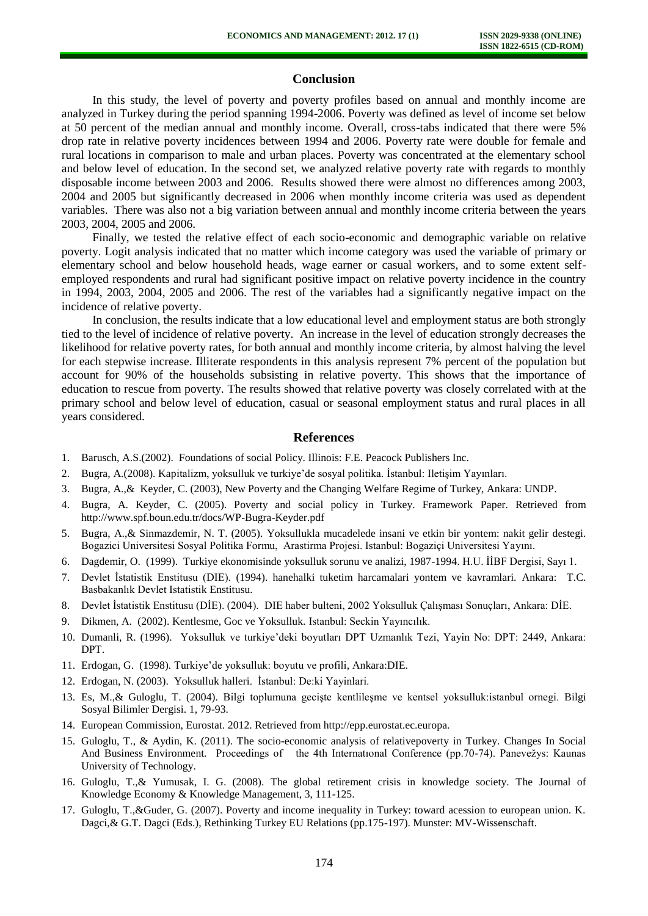# **Conclusion**

In this study, the level of poverty and poverty profiles based on annual and monthly income are analyzed in Turkey during the period spanning 1994-2006. Poverty was defined as level of income set below at 50 percent of the median annual and monthly income. Overall, cross-tabs indicated that there were 5% drop rate in relative poverty incidences between 1994 and 2006. Poverty rate were double for female and rural locations in comparison to male and urban places. Poverty was concentrated at the elementary school and below level of education. In the second set, we analyzed relative poverty rate with regards to monthly disposable income between 2003 and 2006. Results showed there were almost no differences among 2003, 2004 and 2005 but significantly decreased in 2006 when monthly income criteria was used as dependent variables. There was also not a big variation between annual and monthly income criteria between the years 2003, 2004, 2005 and 2006.

Finally, we tested the relative effect of each socio-economic and demographic variable on relative poverty. Logit analysis indicated that no matter which income category was used the variable of primary or elementary school and below household heads, wage earner or casual workers, and to some extent selfemployed respondents and rural had significant positive impact on relative poverty incidence in the country in 1994, 2003, 2004, 2005 and 2006. The rest of the variables had a significantly negative impact on the incidence of relative poverty.

In conclusion, the results indicate that a low educational level and employment status are both strongly tied to the level of incidence of relative poverty. An increase in the level of education strongly decreases the likelihood for relative poverty rates, for both annual and monthly income criteria, by almost halving the level for each stepwise increase. Illiterate respondents in this analysis represent 7% percent of the population but account for 90% of the households subsisting in relative poverty. This shows that the importance of education to rescue from poverty. The results showed that relative poverty was closely correlated with at the primary school and below level of education, casual or seasonal employment status and rural places in all years considered.

## **References**

- 1. Barusch, A.S.(2002). Foundations of social Policy. Illinois: F.E. Peacock Publishers Inc.
- 2. Bugra, A.(2008). Kapitalizm, yoksulluk ve turkiye'de sosyal politika. İstanbul: Iletişim Yayınları.
- 3. Bugra, A.,& Keyder, C. (2003), New Poverty and the Changing Welfare Regime of Turkey, Ankara: UNDP.
- 4. Bugra, A. Keyder, C. (2005). Poverty and social policy in Turkey. Framework Paper. Retrieved from <http://www.spf.boun.edu.tr/docs/WP-Bugra-Keyder.pdf>
- 5. Bugra, A.,& Sinmazdemir, N. T. (2005). Yoksullukla mucadelede insani ve etkin bir yontem: nakit gelir destegi. Bogazici Universitesi Sosyal Politika Formu, Arastirma Projesi. Istanbul: Bogaziçi Universitesi Yayını.
- 6. Dagdemir, O. (1999). Turkiye ekonomisinde yoksulluk sorunu ve analizi, 1987-1994. H.U. İİBF Dergisi, Sayı 1.
- 7. Devlet İstatistik Enstitusu (DIE). (1994). hanehalki tuketim harcamalari yontem ve kavramlari. Ankara: T.C. Basbakanlık Devlet Istatistik Enstitusu.
- 8. Devlet İstatistik Enstitusu (DİE). (2004). DIE haber bulteni, 2002 Yoksulluk Çalışması Sonuçları, Ankara: DİE.
- 9. Dikmen, A. (2002). Kentlesme, Goc ve Yoksulluk. Istanbul: Seckin Yayıncılık.
- 10. Dumanli, R. (1996). Yoksulluk ve turkiye'deki boyutları DPT Uzmanlık Tezi, Yayin No: DPT: 2449, Ankara: DPT.
- 11. Erdogan, G. (1998). Turkiye'de yoksulluk: boyutu ve profili, Ankara:DIE.
- 12. Erdogan, N. (2003). Yoksulluk halleri. İstanbul: De:ki Yayinlari.
- 13. Es, M.,& Guloglu, T. (2004). Bilgi toplumuna gecişte kentlileşme ve kentsel yoksulluk:istanbul ornegi. Bilgi Sosyal Bilimler Dergisi. 1, 79-93.
- 14. European Commission, Eurostat. 2012. Retrieved from http://epp.eurostat.ec.europa.
- 15. Guloglu, T., & Aydin, K. (2011). The socio-economic analysis of relativepoverty in Turkey. Changes In Social And Business Environment. Proceedings of the 4th Internatıonal Conference (pp.70-74). Panevežys: Kaunas University of Technology.
- 16. Guloglu, T.,& Yumusak, I. G. (2008). The global retirement crisis in knowledge society. The Journal of Knowledge Economy & Knowledge Management, 3, 111-125.
- 17. Guloglu, T.,&Guder, G. (2007). Poverty and income inequality in Turkey: toward acession to european union. K. Dagci,& G.T. Dagci (Eds.), Rethinking Turkey EU Relations (pp.175-197). Munster: MV-Wissenschaft.